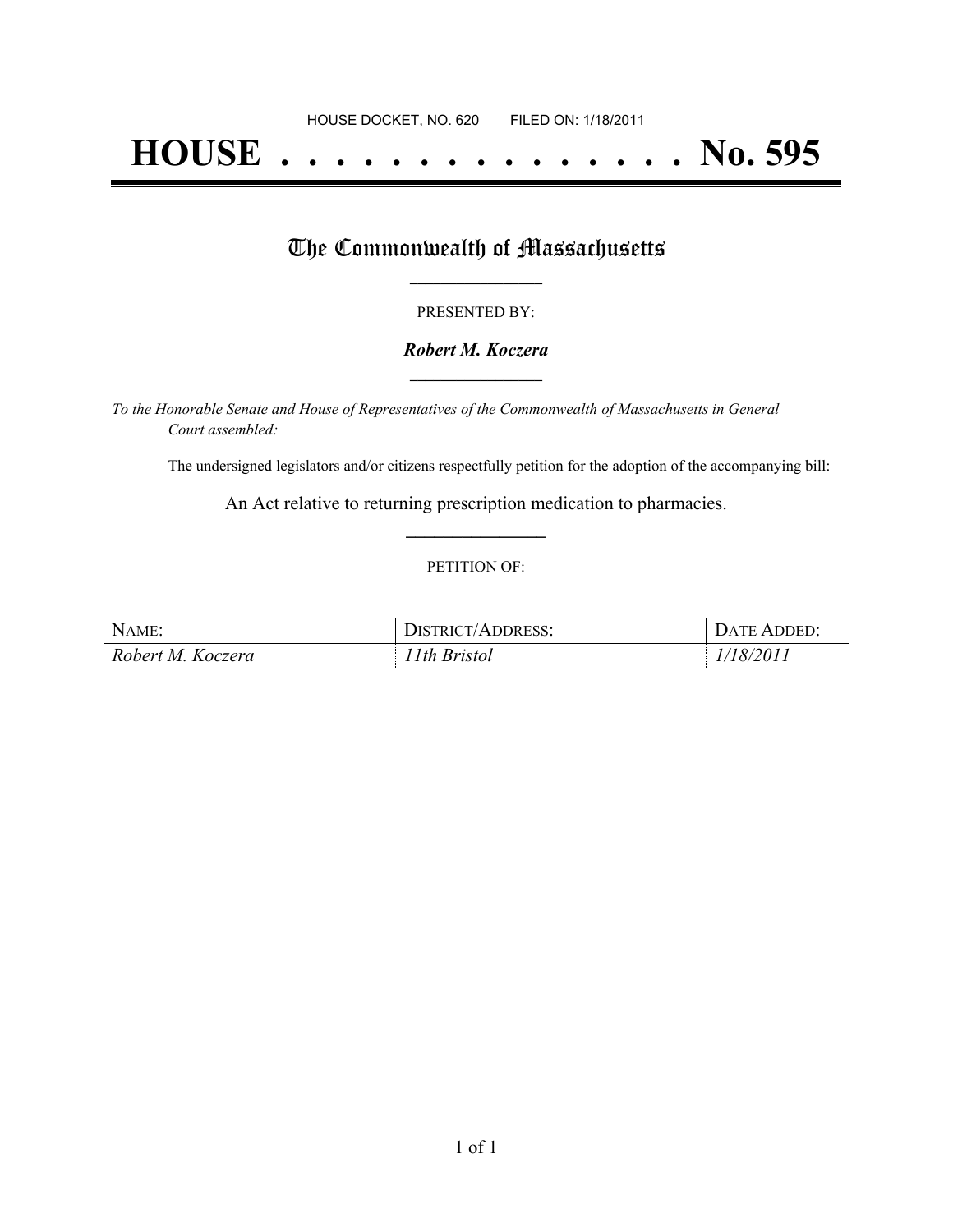# **HOUSE . . . . . . . . . . . . . . . No. 595**

## The Commonwealth of Massachusetts

#### PRESENTED BY:

#### *Robert M. Koczera* **\_\_\_\_\_\_\_\_\_\_\_\_\_\_\_\_\_**

*To the Honorable Senate and House of Representatives of the Commonwealth of Massachusetts in General Court assembled:*

The undersigned legislators and/or citizens respectfully petition for the adoption of the accompanying bill:

An Act relative to returning prescription medication to pharmacies. **\_\_\_\_\_\_\_\_\_\_\_\_\_\_\_**

#### PETITION OF:

| NAME:             | <b>DISTRICT/ADDRESS:</b> | DATE ADDED: |
|-------------------|--------------------------|-------------|
| Robert M. Koczera | 11th Bristol             | 1/18/2011   |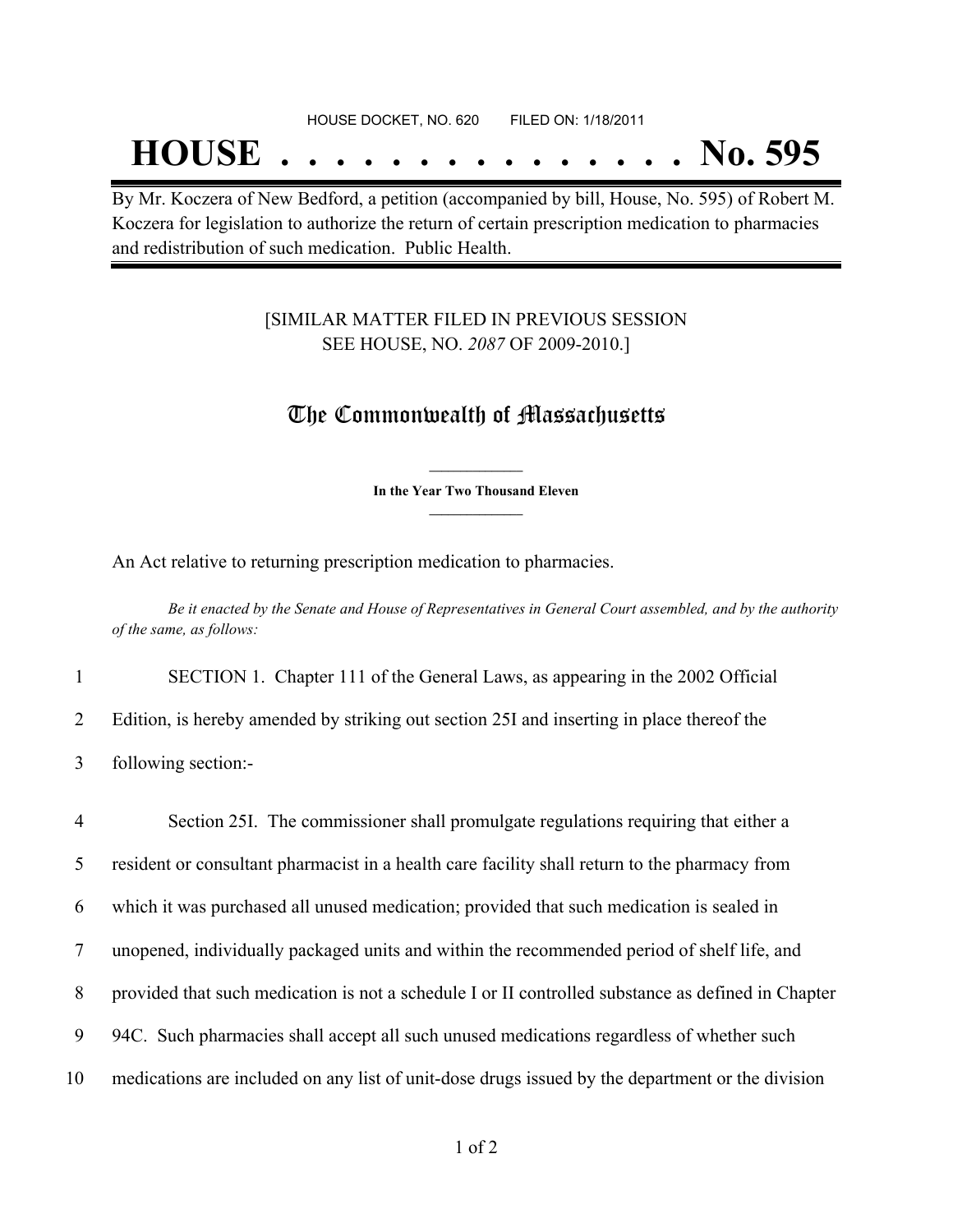## **HOUSE . . . . . . . . . . . . . . . No. 595**

By Mr. Koczera of New Bedford, a petition (accompanied by bill, House, No. 595) of Robert M. Koczera for legislation to authorize the return of certain prescription medication to pharmacies and redistribution of such medication. Public Health.

#### [SIMILAR MATTER FILED IN PREVIOUS SESSION SEE HOUSE, NO. *2087* OF 2009-2010.]

### The Commonwealth of Massachusetts

**\_\_\_\_\_\_\_\_\_\_\_\_\_\_\_ In the Year Two Thousand Eleven \_\_\_\_\_\_\_\_\_\_\_\_\_\_\_**

An Act relative to returning prescription medication to pharmacies.

Be it enacted by the Senate and House of Representatives in General Court assembled, and by the authority *of the same, as follows:*

1 SECTION 1. Chapter 111 of the General Laws, as appearing in the 2002 Official

2 Edition, is hereby amended by striking out section 25I and inserting in place thereof the

3 following section:-

 Section 25I. The commissioner shall promulgate regulations requiring that either a resident or consultant pharmacist in a health care facility shall return to the pharmacy from which it was purchased all unused medication; provided that such medication is sealed in unopened, individually packaged units and within the recommended period of shelf life, and provided that such medication is not a schedule I or II controlled substance as defined in Chapter 94C. Such pharmacies shall accept all such unused medications regardless of whether such medications are included on any list of unit-dose drugs issued by the department or the division